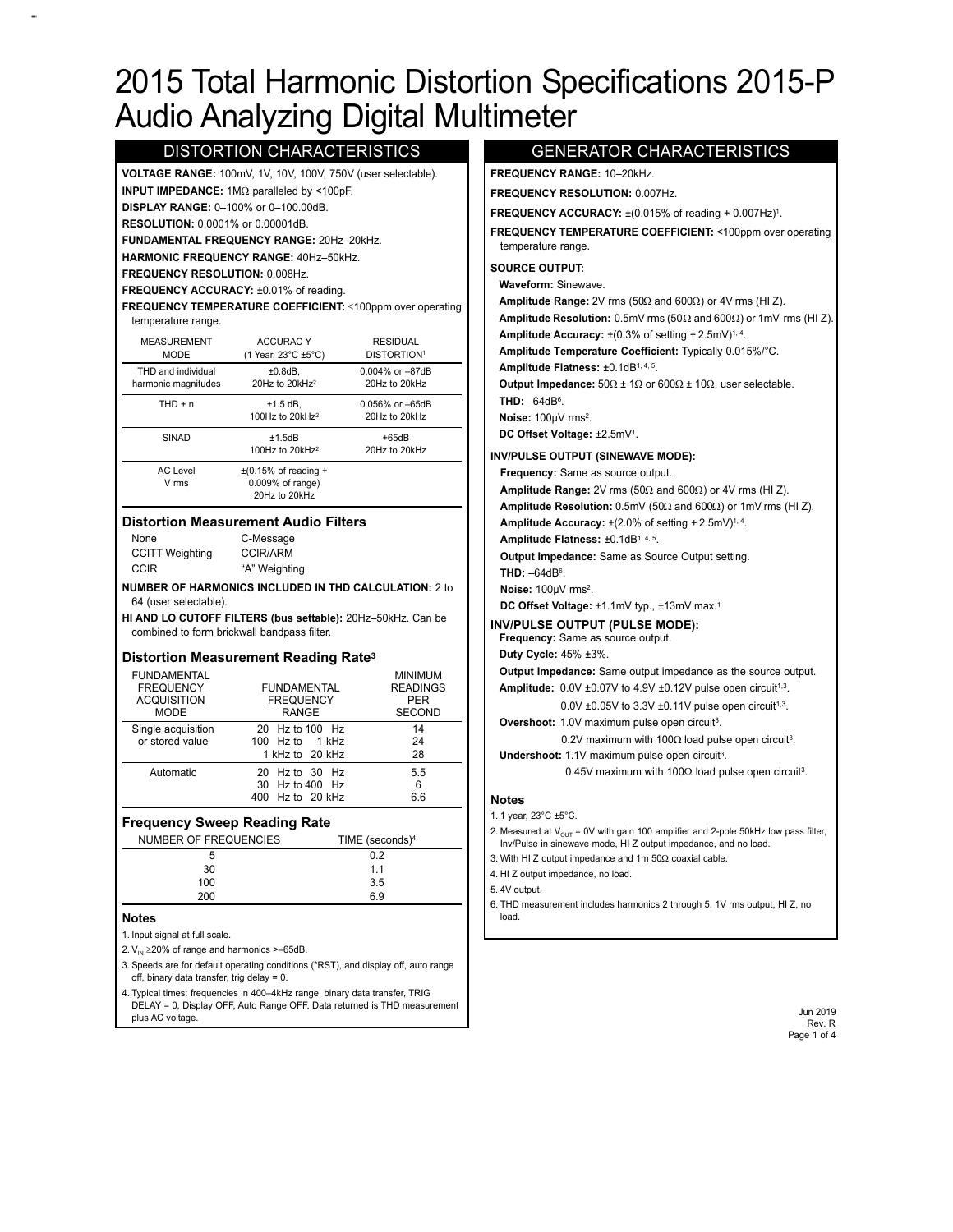## DISTORTION CHARACTERISTICS

**VOLTAGE RANGE:** 100mV, 1V, 10V, 100V, 750V (user selectable). **INPUT IMPEDANCE:** 1MΩ paralleled by <100pF. **DISPLAY RANGE:** 0–100% or 0–100.00dB.

**RESOLUTION:** 0.0001% or 0.00001dB.

**FUNDAMENTAL FREQUENCY RANGE:** 20Hz–20kHz.

**HARMONIC FREQUENCY RANGE:** 40Hz–50kHz.

**FREQUENCY RESOLUTION:** 0.008Hz.

**FREQUENCY ACCURACY:** ±0.01% of reading.

#### **FREQUENCY TEMPERATURE COEFFICIENT:** ≤100ppm over operating temperature range.

| <b>MEASUREMENT</b><br><b>MODE</b>         | <b>ACCURAC Y</b><br>(1 Year, 23°C ±5°C)       | <b>RESIDUAL</b><br>DISTORTION <sup>1</sup> |
|-------------------------------------------|-----------------------------------------------|--------------------------------------------|
| THD and individual<br>harmonic magnitudes | ±0.8dB<br>20Hz to $20kHz^2$                   | $0.004\%$ or $-87dB$<br>20Hz to 20kHz      |
| $THD + n$                                 | $±1.5$ dB,<br>100Hz to $20kHz^2$              | $0.056\%$ or $-65dB$<br>20Hz to 20kHz      |
| <b>SINAD</b>                              | ±1.5dB<br>100Hz to 20kHz <sup>2</sup>         | $+65dB$<br>20Hz to 20kHz                   |
| AC Level<br>V rms                         | $\pm$ (0.15% of reading +<br>0.009% of range) |                                            |

## **Distortion Measurement Audio Filters**

| None                   | C-Message       |
|------------------------|-----------------|
| <b>CCITT Weighting</b> | <b>CCIR/ARM</b> |
| <b>CCIR</b>            | "A" Weighting   |

**NUMBER OF HARMONICS INCLUDED IN THD CALCULATION:** 2 to 64 (user selectable).

20Hz to 20kHz

**HI AND LO CUTOFF FILTERS (bus settable):** 20Hz–50kHz. Can be combined to form brickwall bandpass filter.

## **Distortion Measurement Reading Rate3**

| <b>FUNDAMENTAL</b><br><b>FREQUENCY</b><br><b>ACQUISITION</b><br>MODE | <b>FUNDAMENTAL</b><br><b>FREQUENCY</b><br><b>RANGE</b>    | <b>MINIMUM</b><br><b>READINGS</b><br><b>PER</b><br><b>SECOND</b> |
|----------------------------------------------------------------------|-----------------------------------------------------------|------------------------------------------------------------------|
| Single acquisition<br>or stored value                                | 20 Hz to 100 Hz<br>$100$ Hz to $1$ kHz<br>1 kHz to 20 kHz | 14<br>24<br>28                                                   |
| Automatic                                                            | 20 Hz to 30 Hz<br>30 Hz to 400 Hz<br>Hz to 20 kHz         | 5.5<br>6<br>66                                                   |

## **Frequency Sweep Reading Rate**

| NUMBER OF FREQUENCIES | TIME (seconds) <sup>4</sup> |
|-----------------------|-----------------------------|
| Ð                     | 0.2                         |
| 30                    | 11                          |
| 100                   | 3.5                         |
| 200                   | 6.9                         |

## **Notes**

1. Input signal at full scale.

2.  $V_n \geq 20\%$  of range and harmonics >–65dB.

3. Speeds are for default operating conditions (\*RST), and display off, auto range off, binary data transfer, trig delay = 0.

4. Typical times: frequencies in 400–4kHz range, binary data transfer, TRIG DELAY = 0, Display OFF, Auto Range OFF. Data returned is THD measurement plus AC voltage.

## GENERATOR CHARACTERISTICS

**FREQUENCY RANGE:** 10–20kHz. **FREQUENCY RESOLUTION:** 0.007Hz. **FREQUENCY ACCURACY:** ±(0.015% of reading + 0.007Hz)1. **FREQUENCY TEMPERATURE COEFFICIENT:** <100ppm over operating temperature range. **SOURCE OUTPUT: Waveform:** Sinewave. **Amplitude Range:** 2V rms (50Ω and 600Ω) or 4V rms (HI Z). **Amplitude Resolution:** 0.5mV rms (50Ω and 600Ω) or 1mV rms (HI Z). **Amplitude Accuracy: ±(0.3% of setting + 2.5mV)1, 4. Amplitude Temperature Coefficient:** Typically 0.015%/°C. **Amplitude Flatness:** ±0.1dB1, 4, 5 . **Output Impedance:** 50Ω ± 1Ω or 600Ω ± 10Ω, user selectable. **THD:** –64dB<sup>6</sup> . **Noise:** 100μV rms<sup>2</sup>. **DC Offset Voltage:** ±2.5mV<sup>1</sup> . **INV/PULSE OUTPUT (SINEWAVE MODE): Frequency:** Same as source output. **Amplitude Range:** 2V rms (50Ω and 600Ω) or 4V rms (HI Z). **Amplitude Resolution:** 0.5mV (50Ω and 600Ω) or 1mV rms (HI Z). **Amplitude Accuracy:** ±(2.0% of setting + 2.5mV)1,4. **Amplitude Flatness:** ±0.1dB1, 4, 5 . **Output Impedance:** Same as Source Output setting. **THD:** –64dB<sup>6</sup> . **Noise:** 100μV rms<sup>2</sup>. **DC Offset Voltage:** ±1.1mV typ., ±13mV max.<sup>1</sup> **INV/PULSE OUTPUT (PULSE MODE): Frequency:** Same as source output.

**Duty Cycle:** 45% ±3%.

**Output Impedance:** Same output impedance as the source output. **Amplitude:** 0.0V ±0.07V to 4.9V ±0.12V pulse open circuit<sup>1,3</sup>.

 $0.0V$  ±0.05V to 3.3V ±0.11V pulse open circuit<sup>1,3</sup>.

**Overshoot:** 1.0V maximum pulse open circuit<sup>3</sup>. 0.2V maximum with 100Ω load pulse open circuit<sup>3</sup>.

**Undershoot:** 1.1V maximum pulse open circuit<sup>3</sup>.

0.45V maximum with 100Ω load pulse open circuit<sup>3</sup>.

#### **Notes**

1. 1 year, 23°C ±5°C.

2. Measured at  $V_{OUT} = 0V$  with gain 100 amplifier and 2-pole 50kHz low pass filter, Inv/Pulse in sinewave mode, HI Z output impedance, and no load.

3. With HI Z output impedance and 1m 50Ω coaxial cable.

- 4. HI Z output impedance, no load.
- 5. 4V output.
- 6. THD measurement includes harmonics 2 through 5, 1V rms output, HI Z, no load.

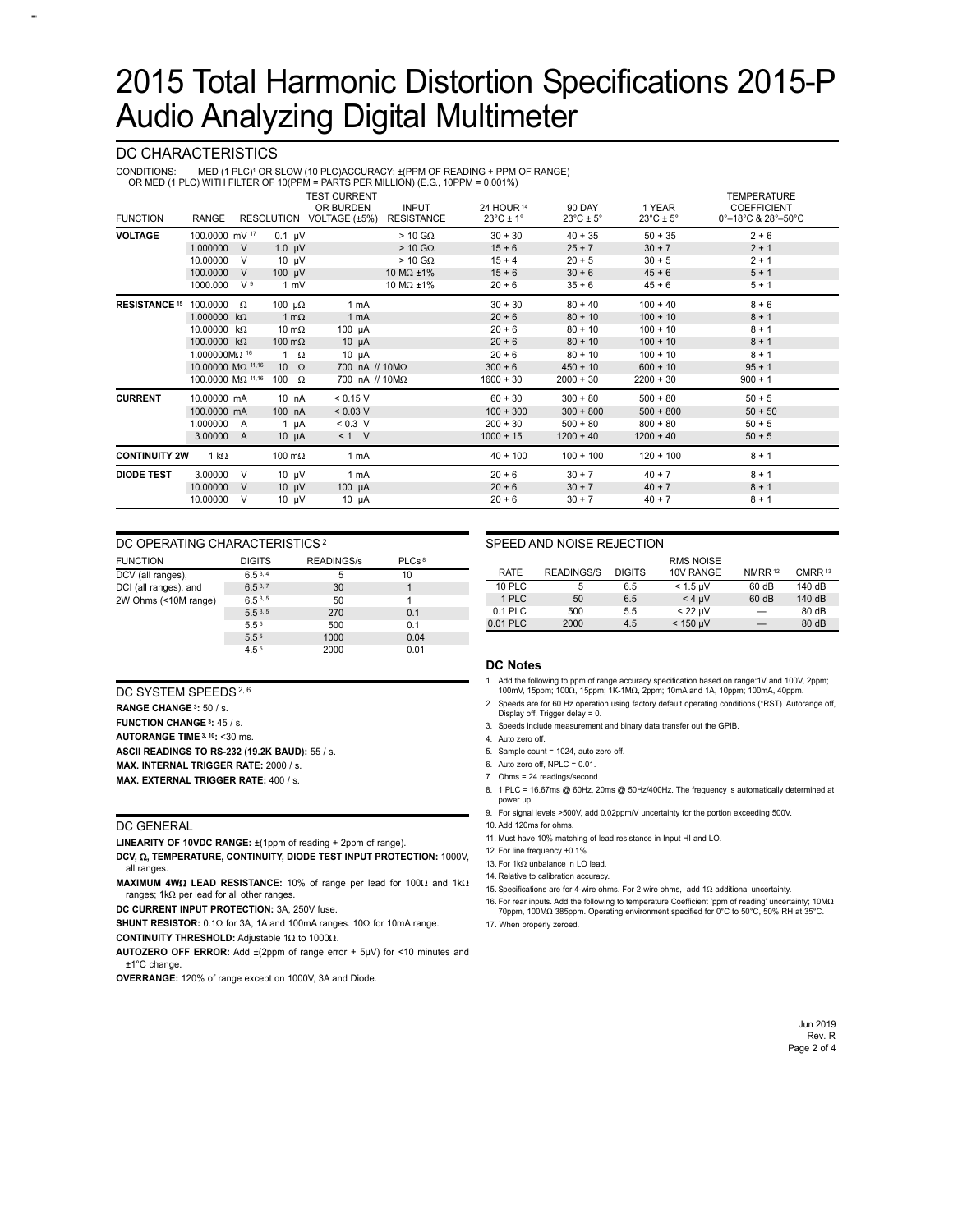## DC CHARACTERISTICS

CONDITIONS: MED (1 PLC)1 OR SLOW (10 PLC)ACCURACY: ±(PPM OF READING + PPM OF RANGE)

OR MED (1 PLC) WITH FILTER OF 10 (PPM = PARTS PER MILLION) (E.G., 10PPM = 0.001%)

| <b>FUNCTION</b>      | RANGE                    |     |                 | <b>TEST CURRENT</b><br>OR BURDEN<br>RESOLUTION VOLTAGE (±5%) | <b>INPUT</b><br><b>RESISTANCE</b> | 24 HOUR 14<br>$23^{\circ}$ C ± 1 $^{\circ}$ | <b>90 DAY</b><br>$23^{\circ}$ C ± 5 $^{\circ}$ | 1 YEAR<br>$23^{\circ}$ C ± $5^{\circ}$ | <b>TEMPERATURE</b><br><b>COEFFICIENT</b><br>0°-18°C & 28°-50°C |
|----------------------|--------------------------|-----|-----------------|--------------------------------------------------------------|-----------------------------------|---------------------------------------------|------------------------------------------------|----------------------------------------|----------------------------------------------------------------|
| <b>VOLTAGE</b>       | 100.0000 mV 17           |     | $0.1 \mu V$     |                                                              | $> 10$ GO                         | $30 + 30$                                   | $40 + 35$                                      | $50 + 35$                              | $2 + 6$                                                        |
|                      | 1.000000                 | V   | 1.0 $\mu$ V     |                                                              | $> 10$ G $\Omega$                 | $15 + 6$                                    | $25 + 7$                                       | $30 + 7$                               | $2 + 1$                                                        |
|                      | 10.00000                 | V   | $10 \mu V$      |                                                              | $> 10$ G $\Omega$                 | $15 + 4$                                    | $20 + 5$                                       | $30 + 5$                               | $2 + 1$                                                        |
|                      | 100.0000                 | V   | $100 \mu V$     |                                                              | 10 $M\Omega$ ±1%                  | $15 + 6$                                    | $30 + 6$                                       | $45 + 6$                               | $5 + 1$                                                        |
|                      | 1000.000                 | V 9 | 1 mV            |                                                              | 10 M $\Omega$ ±1%                 | $20 + 6$                                    | $35 + 6$                                       | $45 + 6$                               | $5 + 1$                                                        |
| <b>RESISTANCE 15</b> | 100.0000                 | Ω   | 100 $\mu\Omega$ | 1 mA                                                         |                                   | $30 + 30$                                   | $80 + 40$                                      | $100 + 40$                             | $8 + 6$                                                        |
|                      | 1.000000 kΩ              |     | 1 m $\Omega$    | $1 \text{ mA}$                                               |                                   | $20 + 6$                                    | $80 + 10$                                      | $100 + 10$                             | $8 + 1$                                                        |
|                      | 10.00000 kΩ              |     | 10 m $\Omega$   | $100 \mu A$                                                  |                                   | $20 + 6$                                    | $80 + 10$                                      | $100 + 10$                             | $8 + 1$                                                        |
|                      | 100,0000 kΩ              |     | 100 m $\Omega$  | $10 \mu A$                                                   |                                   | $20 + 6$                                    | $80 + 10$                                      | $100 + 10$                             | $8 + 1$                                                        |
|                      | 1.000000MΩ <sup>16</sup> |     | $1 \Omega$      | $10 \mu A$                                                   |                                   | $20 + 6$                                    | $80 + 10$                                      | $100 + 10$                             | $8 + 1$                                                        |
|                      | 10.00000 MΩ 11,16        |     | $10 \Omega$     | 700 nA // 10ΜΩ                                               |                                   | $300 + 6$                                   | $450 + 10$                                     | $600 + 10$                             | $95 + 1$                                                       |
|                      | 100.0000 MΩ 11,16        |     | 100 $\Omega$    | 700 nA // 10ΜΩ                                               |                                   | $1600 + 30$                                 | $2000 + 30$                                    | $2200 + 30$                            | $900 + 1$                                                      |
| <b>CURRENT</b>       | 10.00000 mA              |     | 10 nA           | < 0.15 V                                                     |                                   | $60 + 30$                                   | $300 + 80$                                     | $500 + 80$                             | $50 + 5$                                                       |
|                      | 100.0000 mA              |     | 100 nA          | < 0.03 V                                                     |                                   | $100 + 300$                                 | $300 + 800$                                    | $500 + 800$                            | $50 + 50$                                                      |
|                      | 1.000000                 | A   | 1 $\mu$ A       | < 0.3 V                                                      |                                   | $200 + 30$                                  | $500 + 80$                                     | $800 + 80$                             | $50 + 5$                                                       |
|                      | 3.00000                  | A   | $10 \mu A$      | $< 1$ V                                                      |                                   | $1000 + 15$                                 | $1200 + 40$                                    | $1200 + 40$                            | $50 + 5$                                                       |
| <b>CONTINUITY 2W</b> | 1 k $\Omega$             |     | 100 m $\Omega$  | 1 mA                                                         |                                   | $40 + 100$                                  | $100 + 100$                                    | $120 + 100$                            | $8 + 1$                                                        |
| <b>DIODE TEST</b>    | 3.00000                  | V   | $10 \mu V$      | 1 mA                                                         |                                   | $20 + 6$                                    | $30 + 7$                                       | $40 + 7$                               | $8 + 1$                                                        |
|                      | 10.00000                 | V   | $10 \mu V$      | $100 \mu A$                                                  |                                   | $20 + 6$                                    | $30 + 7$                                       | $40 + 7$                               | $8 + 1$                                                        |
|                      | 10.00000                 | V   | $10 \mu V$      | 10 $\mu$ A                                                   |                                   | $20 + 6$                                    | $30 + 7$                                       | $40 + 7$                               | $8 + 1$                                                        |

#### DC OPERATING CHARACTERISTICS<sup>2</sup>

| <b>FUNCTION</b>       | <b>DIGITS</b>    | <b>READINGS/s</b> | PLCs <sup>8</sup> |  |
|-----------------------|------------------|-------------------|-------------------|--|
| DCV (all ranges),     | 6.53,4           | 5                 | 10                |  |
| DCI (all ranges), and | $6.5^{3,7}$      | 30                |                   |  |
| 2W Ohms (<10M range)  | $6.5^{3,5}$      | 50                |                   |  |
|                       | 5.53.5           | 270               | 0.1               |  |
|                       | 5.5 <sup>5</sup> | 500               | 0.1               |  |
|                       | 5.5 <sup>5</sup> | 1000              | 0.04              |  |
|                       | 4.5 <sup>5</sup> | 2000              | 0.01              |  |

DC SYSTEM SPEEDS<sup>2,6</sup>

**RANGE CHANGE 3:** 50 / s.

**FUNCTION CHANGE 3:** 45 / s.

**AUTORANGE TIME 3, 10:** <30 ms.

**ASCII READINGS TO RS-232 (19.2K BAUD):** 55 / s.

**MAX. INTERNAL TRIGGER RATE:** 2000 / s.

**MAX. EXTERNAL TRIGGER RATE:** 400 / s.

#### DC GENERAL

**LINEARITY OF 10VDC RANGE:** ±(1ppm of reading + 2ppm of range).

**DCV,** Ω**, TEMPERATURE, CONTINUITY, DIODE TEST INPUT PROTECTION:** 1000V, all ranges.

**MAXIMUM 4W**Ω **LEAD RESISTANCE:** 10% of range per lead for 100Ω and 1kΩ ranges; 1kΩ per lead for all other ranges.

**DC CURRENT INPUT PROTECTION:** 3A, 250V fuse.

**SHUNT RESISTOR:** 0.1Ω for 3A, 1A and 100mA ranges. 10Ω for 10mA range.

**CONTINUITY THRESHOLD:** Adjustable 1Ω to 1000Ω.

**AUTOZERO OFF ERROR:** Add  $\pm$ (2ppm of range error + 5µV) for <10 minutes and ±1°C change.

**OVERRANGE:** 120% of range except on 1000V, 3A and Diode.

#### SPEED AND NOISE REJECTION

|               |                   |               | RMS NOISE  |                          |                    |
|---------------|-------------------|---------------|------------|--------------------------|--------------------|
| RATE          | <b>READINGS/S</b> | <b>DIGITS</b> | 10V RANGE  | NMRR <sup>12</sup>       | CMRR <sup>13</sup> |
| <b>10 PLC</b> | 5                 | 6.5           | $<$ 1.5 µV | 60 dB                    | 140 dB             |
| 1 PLC         | 50                | 6.5           | $<$ 4 uV   | 60 dB                    | 140dB              |
| $0.1$ PLC     | 500               | 5.5           | $<$ 22 uV  | $\overline{\phantom{m}}$ | 80 dB              |
| 0.01 PLC      | 2000              | 4.5           | $<$ 150 µV |                          | 80 dB              |

#### **DC Notes**

1. Add the following to ppm of range accuracy specification based on range:1V and 100V, 2ppm; 100mV, 15ppm; 100Ω, 15ppm; 1K-1MΩ, 2ppm; 10mA and 1A, 10ppm; 100mA, 40ppm.

- 2. Speeds are for 60 Hz operation using factory default operating conditions (\*RST). Autorange off, Display off, Trigger delay = 0.
- 3. Speeds include measurement and binary data transfer out the GPIB.
- 4. Auto zero off.
- 5. Sample count = 1024, auto zero off.
- 6. Auto zero off, NPLC = 0.01.
- 7. Ohms = 24 readings/second.
- 8. 1 PLC = 16.67ms @ 60Hz, 20ms @ 50Hz/400Hz. The frequency is automatically determined at power up
- 9. For signal levels >500V, add 0.02ppm/V uncertainty for the portion exceeding 500V.

10. Add 120ms for ohms.

11. Must have 10% matching of lead resistance in Input HI and LO.

12. For line frequency ±0.1%.

- 13. For 1kΩ unbalance in LO lead.
- 14. Relative to calibration accuracy.
- 15. Specifications are for 4-wire ohms. For 2-wire ohms, add 1Ω additional uncertainty.
- 16. For rear inputs. Add the following to temperature Coefficient 'ppm of reading' uncertainty; 10MΩ 70ppm, 100MΩ 385ppm. Operating environment specified for 0°C to 50°C, 50% RH at 35°C.

17. When properly zeroed.

 Jun 2019 Rev. R Page 2 of 4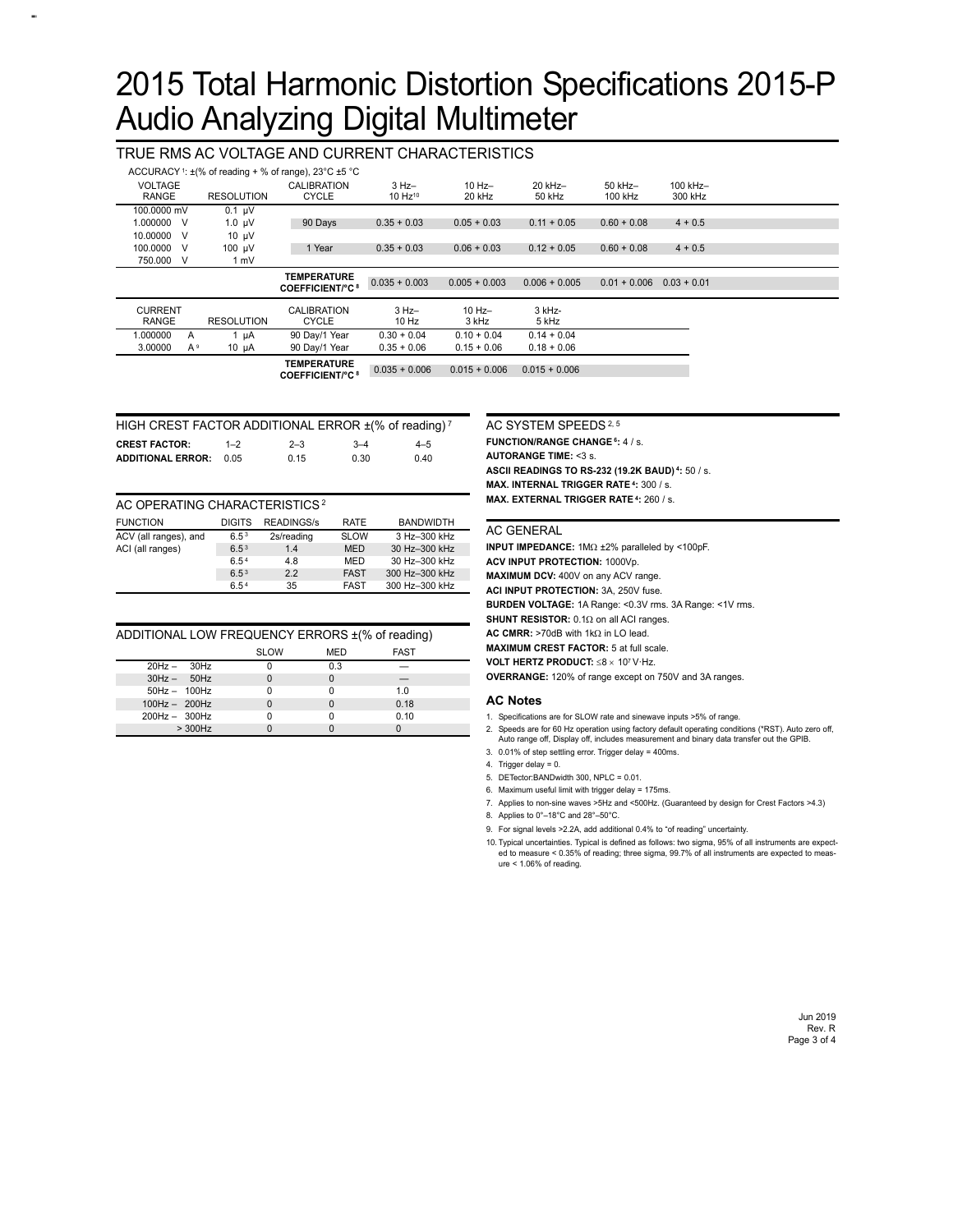## TRUE RMS AC VOLTAGE AND CURRENT CHARACTERISTICS

|                |     |                   | ACCURACY <sup>1</sup> : $\pm$ (% of reading + % of range), 23°C $\pm$ 5 °C |                     |                 |                 |                |               |  |
|----------------|-----|-------------------|----------------------------------------------------------------------------|---------------------|-----------------|-----------------|----------------|---------------|--|
| <b>VOLTAGE</b> |     |                   | <b>CALIBRATION</b>                                                         | $3 Hz -$            | $10$ Hz-        | 20 kHz-         | 50 kHz-        | 100 kHz-      |  |
| <b>RANGE</b>   |     | <b>RESOLUTION</b> | <b>CYCLE</b>                                                               | 10 Hz <sup>10</sup> | 20 kHz          | 50 kHz          | 100 kHz        | 300 kHz       |  |
| 100,0000 mV    |     | $0.1 \mu V$       |                                                                            |                     |                 |                 |                |               |  |
| 1.000000 V     |     | 1.0 $\mu$ V       | 90 Days                                                                    | $0.35 + 0.03$       | $0.05 + 0.03$   | $0.11 + 0.05$   | $0.60 + 0.08$  | $4 + 0.5$     |  |
| 10.00000<br>v  |     | $10 \mu V$        |                                                                            |                     |                 |                 |                |               |  |
| 100.0000<br>v  |     | 100 µV            | 1 Year                                                                     | $0.35 + 0.03$       | $0.06 + 0.03$   | $0.12 + 0.05$   | $0.60 + 0.08$  | $4 + 0.5$     |  |
| 750.000<br>v   |     | 1 mV              |                                                                            |                     |                 |                 |                |               |  |
|                |     |                   | <b>TEMPERATURE</b><br><b>COEFFICIENT/°C 8</b>                              | $0.035 + 0.003$     | $0.005 + 0.003$ | $0.006 + 0.005$ | $0.01 + 0.006$ | $0.03 + 0.01$ |  |
| <b>CURRENT</b> |     |                   | CALIBRATION                                                                | $3 Hz -$            | $10$ Hz-        | 3 kHz-          |                |               |  |
| <b>RANGE</b>   |     | <b>RESOLUTION</b> | <b>CYCLE</b>                                                               | $10$ Hz             | 3 kHz           | 5 kHz           |                |               |  |
| 1.000000       | A   | 1 $\mu$ A         | 90 Day/1 Year                                                              | $0.30 + 0.04$       | $0.10 + 0.04$   | $0.14 + 0.04$   |                |               |  |
| 3.00000        | A s | $10 \mu A$        | 90 Day/1 Year                                                              | $0.35 + 0.06$       | $0.15 + 0.06$   | $0.18 + 0.06$   |                |               |  |
|                |     |                   | TEMPERATURE<br><b>COFFFICIENT/°C8</b>                                      | $0.035 + 0.006$     | $0.015 + 0.006$ | $0.015 + 0.006$ |                |               |  |

| HIGH CREST FACTOR ADDITIONAL ERROR ±(% of reading) <sup>7</sup> |         |         |        |         |  |  |
|-----------------------------------------------------------------|---------|---------|--------|---------|--|--|
| <b>CREST FACTOR:</b>                                            | $1 - 2$ | $2 - 3$ | $-3-4$ | $4 - 5$ |  |  |
| <b>ADDITIONAL ERROR:</b>                                        | 0.05    | 0.15    | 0.30   | 0.40    |  |  |

| AC OPERATING CHARACTERISTICS <sup>2</sup> |                  |                  |             |                |  |  |  |
|-------------------------------------------|------------------|------------------|-------------|----------------|--|--|--|
| <b>FUNCTION</b>                           | <b>RATE</b>      | <b>BANDWIDTH</b> |             |                |  |  |  |
| ACV (all ranges), and                     | 6.5 <sup>3</sup> | 2s/reading       | <b>SLOW</b> | 3 Hz-300 kHz   |  |  |  |
| ACI (all ranges)                          | 6.5 <sup>3</sup> | 1.4              | <b>MED</b>  | 30 Hz-300 kHz  |  |  |  |
|                                           | 6.5 <sup>4</sup> | 4.8              | <b>MED</b>  | 30 Hz-300 kHz  |  |  |  |
|                                           | 6.5 <sup>3</sup> | 2.2              | <b>FAST</b> | 300 Hz-300 kHz |  |  |  |
|                                           | 6.54             | 35               | <b>FAST</b> | 300 Hz-300 kHz |  |  |  |

| ADDITIONAL LOW FREQUENCY ERRORS ±(% of reading) |           |             |              |             |  |  |  |  |
|-------------------------------------------------|-----------|-------------|--------------|-------------|--|--|--|--|
|                                                 |           | <b>SLOW</b> | MED          | <b>FAST</b> |  |  |  |  |
| $20Hz - 30Hz$                                   |           | 0           | 0.3          |             |  |  |  |  |
| $30Hz - 50Hz$                                   |           | $\Omega$    | $\Omega$     |             |  |  |  |  |
| $50Hz - 100Hz$                                  |           |             | U            | 1.0         |  |  |  |  |
| $100Hz - 200Hz$                                 |           |             | <sup>0</sup> | 0.18        |  |  |  |  |
| $200Hz - 300Hz$                                 |           |             | 0            | 0.10        |  |  |  |  |
|                                                 | $>$ 300Hz |             |              | $\Omega$    |  |  |  |  |

AC SYSTEM SPEEDS 2, 5 **FUNCTION/RANGE CHANGE 6:** 4 / s. **AUTORANGE TIME:** <3 s. **ASCII READINGS TO RS-232 (19.2K BAUD) 4:** 50 / s. **MAX. INTERNAL TRIGGER RATE 4:** 300 / s. **MAX. EXTERNAL TRIGGER RATE 4:** 260 / s.

#### AC GENERAL

**INPUT IMPEDANCE:** 1MΩ ±2% paralleled by <100pF. **ACV INPUT PROTECTION:** 1000Vp. **MAXIMUM DCV:** 400V on any ACV range. **ACI INPUT PROTECTION:** 3A, 250V fuse. **BURDEN VOLTAGE:** 1A Range: <0.3V rms. 3A Range: <1V rms. **SHUNT RESISTOR:** 0.1Ω on all ACI ranges. **AC CMRR:** >70dB with 1kΩ in LO lead. **MAXIMUM CREST FACTOR:** 5 at full scale. **VOLT HERTZ PRODUCT:** ≤8 × 107 V·Hz. **OVERRANGE:** 120% of range except on 750V and 3A ranges.

#### **AC Notes**

- 1. Specifications are for SLOW rate and sinewave inputs >5% of range.
- 2. Speeds are for 60 Hz operation using factory default operating conditions (\*RST). Auto zero off, Auto range off, Display off, includes measurement and binary data transfer out the GPIB.
- 
- 3. 0.01% of step settling error. Trigger delay = 400ms.
- 4. Trigger delay = 0.
- 5. DETector:BANDwidth 300, NPLC = 0.01.
- 6. Maximum useful limit with trigger delay = 175ms.
- 7. Applies to non-sine waves >5Hz and <500Hz. (Guaranteed by design for Crest Factors >4.3)

8. Applies to 0°-18°C and 28°-50°C.

- 9. For signal levels >2.2A, add additional 0.4% to "of reading" uncertainty.
- 10. Typical uncertainties. Typical is defined as follows: two sigma, 95% of all instruments are expected to measure < 0.35% of reading; three sigma, 99.7% of all instruments are expected to measure < 1.06% of reading.